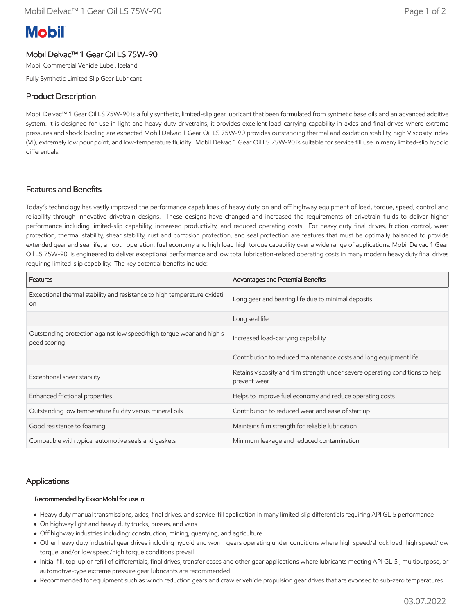# **Mobil**

# Mobil Delvac™ 1 Gear Oil LS 75W-90

Mobil Commercial Vehicle Lube , Iceland

Fully Synthetic Limited Slip Gear Lubricant

## Product Description

Mobil Delvac™ 1 Gear Oil LS 75W-90 is a fully synthetic, limited-slip gear lubricant that been formulated from synthetic base oils and an advanced additive system. It is designed for use in light and heavy duty drivetrains, it provides excellent load-carrying capability in axles and final drives where extreme pressures and shock loading are expected Mobil Delvac 1 Gear Oil LS 75W-90 provides outstanding thermal and oxidation stability, high Viscosity Index (VI), extremely low pour point, and low-temperature fluidity. Mobil Delvac 1 Gear Oil LS 75W-90 is suitable for service fill use in many limited-slip hypoid differentials.

## Features and Benefits

Today's technology has vastly improved the performance capabilities of heavy duty on and off highway equipment of load, torque, speed, control and reliability through innovative drivetrain designs. These designs have changed and increased the requirements of drivetrain fluids to deliver higher performance including limited-slip capability, increased productivity, and reduced operating costs. For heavy duty final drives, friction control, wear protection, thermal stability, shear stability, rust and corrosion protection, and seal protection are features that must be optimally balanced to provide extended gear and seal life, smooth operation, fuel economy and high load high torque capability over a wide range of applications. Mobil Delvac 1 Gear Oil LS 75W-90 is engineered to deliver exceptional performance and low total lubrication-related operating costs in many modern heavy duty final drives requiring limited-slip capability. The key potential benefits include:

| Features                                                                                   | Advantages and Potential Benefits                                                             |  |
|--------------------------------------------------------------------------------------------|-----------------------------------------------------------------------------------------------|--|
| Exceptional thermal stability and resistance to high temperature oxidati<br>O <sub>0</sub> | Long gear and bearing life due to minimal deposits                                            |  |
|                                                                                            | Long seal life                                                                                |  |
| Outstanding protection against low speed/high torque wear and high s<br>peed scoring       | Increased load-carrying capability.                                                           |  |
|                                                                                            | Contribution to reduced maintenance costs and long equipment life                             |  |
| Exceptional shear stability                                                                | Retains viscosity and film strength under severe operating conditions to help<br>prevent wear |  |
| Enhanced frictional properties                                                             | Helps to improve fuel economy and reduce operating costs                                      |  |
| Outstanding low temperature fluidity versus mineral oils                                   | Contribution to reduced wear and ease of start up                                             |  |
| Good resistance to foaming                                                                 | Maintains film strength for reliable lubrication                                              |  |
| Compatible with typical automotive seals and gaskets                                       | Minimum leakage and reduced contamination                                                     |  |

## Applications

#### Recommended by ExxonMobil for use in:

- Heavy duty manual transmissions, axles, final drives, and service-fill application in many limited-slip differentials requiring API GL-5 performance
- On highway light and heavy duty trucks, busses, and vans
- Off highway industries including: construction, mining, quarrying, and agriculture
- Other heavy duty industrial gear drives including hypoid and worm gears operating under conditions where high speed/shock load, high speed/low torque, and/or low speed/high torque conditions prevail
- Initial fill, top-up or refill of differentials, final drives, transfer cases and other gear applications where lubricants meeting API GL-5 , multipurpose, or automotive-type extreme pressure gear lubricants are recommended
- Recommended for equipment such as winch reduction gears and crawler vehicle propulsion gear drives that are exposed to sub-zero temperatures